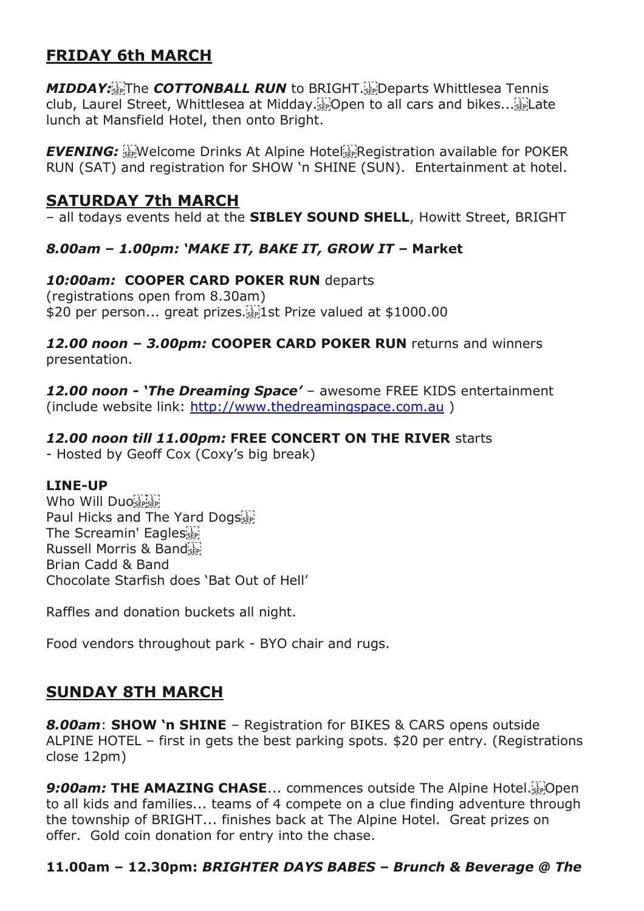# **FRIDAY 6th MARCH**

*MIDDAY:* The *COTTONBALL RUN* to BRIGHT. The parts Whittlesea Tennis club, Laurel Street, Whittlesea at Midday.<sup>[17]</sup>Open to all cars and bikes...<sup>[17]</sup>Late lunch at Mansfield Hotel, then onto Bright.

**EVENING:** EVENING: Experime Drinks At Alpine Hotel Experience available for POKER RUN (SAT) and registration for SHOW 'n SHINE (SUN). Entertainment at hotel.

## **SATURDAY 7th MARCH**

– all todays events held at the **SIBLEY SOUND SHELL**, Howitt Street, BRIGHT

### *8.00am – 1.00pm: 'MAKE IT, BAKE IT, GROW IT –* **Market**

#### *10:00am:* **COOPER CARD POKER RUN** departs

(registrations open from 8.30am) \$20 per person... great prizes.<sup>[1]</sup> 1st Prize valued at \$1000.00

#### *12.00 noon – 3.00pm:* **COOPER CARD POKER RUN** returns and winners presentation.

*12.00 noon - 'The Dreaming Space'* – awesome FREE KIDS entertainment (include website link: [http://www.thedreamingspace.com.au](http://www.thedreamingspace.com.au/) )

### *12.00 noon till 11.00pm:* **FREE CONCERT ON THE RIVER** starts

- Hosted by Geoff Cox (Coxy's big break)

### **LINE-UP**

Who Will Duo Paul Hicks and The Yard Dogs The Screamin' Eagles Russell Morris & Band Brian Cadd & Band Chocolate Starfish does 'Bat Out of Hell'

Raffles and donation buckets all night.

Food vendors throughout park - BYO chair and rugs.

### **SUNDAY 8TH MARCH**

*8.00am*: **SHOW 'n SHINE** – Registration for BIKES & CARS opens outside ALPINE HOTEL – first in gets the best parking spots. \$20 per entry. (Registrations close 12pm)

**9:00am: THE AMAZING CHASE...** commences outside The Alpine Hotel. to all kids and families... teams of 4 compete on a clue finding adventure through the township of BRIGHT... finishes back at The Alpine Hotel. Great prizes on offer. Gold coin donation for entry into the chase.

### **11.00am – 12.30pm:** *BRIGHTER DAYS BABES – Brunch & Beverage @ The*